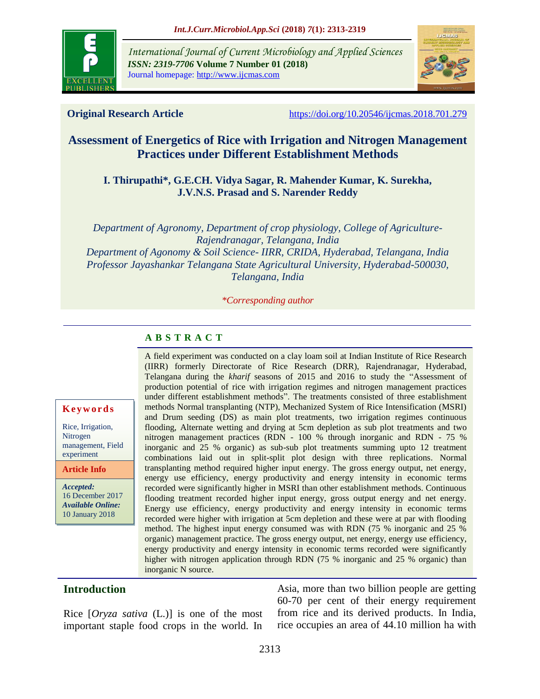

*International Journal of Current Microbiology and Applied Sciences ISSN: 2319-7706* **Volume 7 Number 01 (2018)**  Journal homepage: http://www.ijcmas.com



**Original Research Article** <https://doi.org/10.20546/ijcmas.2018.701.279>

# **Assessment of Energetics of Rice with Irrigation and Nitrogen Management Practices under Different Establishment Methods**

#### **I. Thirupathi\*, G.E.CH. Vidya Sagar, R. Mahender Kumar, K. Surekha, J.V.N.S. Prasad and S. Narender Reddy**

*Department of Agronomy, Department of crop physiology, College of Agriculture-Rajendranagar, Telangana, India Department of Agonomy & Soil Science- IIRR, CRIDA, Hyderabad, Telangana, India Professor Jayashankar Telangana State Agricultural University, Hyderabad-500030, Telangana, India*

*\*Corresponding author*

## **A B S T R A C T**

#### **K e y w o r d s**

Rice, Irrigation, Nitrogen management, Field experiment

**Article Info**

*Accepted:*  16 December 2017 *Available Online:* 10 January 2018

A field experiment was conducted on a clay loam soil at Indian Institute of Rice Research (IIRR) formerly Directorate of Rice Research (DRR), Rajendranagar, Hyderabad, Telangana during the *kharif* seasons of 2015 and 2016 to study the "Assessment of production potential of rice with irrigation regimes and nitrogen management practices under different establishment methods". The treatments consisted of three establishment methods Normal transplanting (NTP), Mechanized System of Rice Intensification (MSRI) and Drum seeding (DS) as main plot treatments, two irrigation regimes continuous flooding, Alternate wetting and drying at 5cm depletion as sub plot treatments and two nitrogen management practices (RDN - 100 % through inorganic and RDN - 75 % inorganic and 25 % organic) as sub-sub plot treatments summing upto 12 treatment combinations laid out in split-split plot design with three replications. Normal transplanting method required higher input energy. The gross energy output, net energy, energy use efficiency, energy productivity and energy intensity in economic terms recorded were significantly higher in MSRI than other establishment methods. Continuous flooding treatment recorded higher input energy, gross output energy and net energy. Energy use efficiency, energy productivity and energy intensity in economic terms recorded were higher with irrigation at 5cm depletion and these were at par with flooding method. The highest input energy consumed was with RDN (75 % inorganic and 25 % organic) management practice. The gross energy output, net energy, energy use efficiency, energy productivity and energy intensity in economic terms recorded were significantly higher with nitrogen application through RDN (75 % inorganic and 25 % organic) than inorganic N source.

### **Introduction**

Rice [*Oryza sativa* (L.)] is one of the most important staple food crops in the world. In

Asia, more than two billion people are getting 60-70 per cent of their energy requirement from rice and its derived products. In India, rice occupies an area of 44.10 million ha with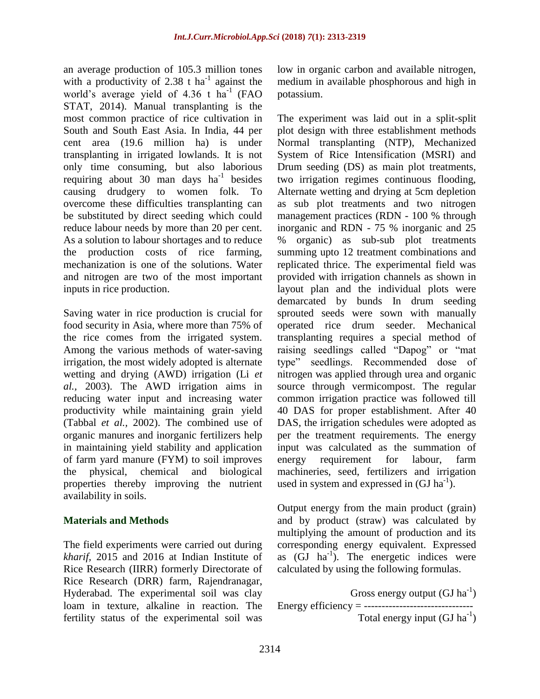an average production of 105.3 million tones with a productivity of 2.38 t ha<sup>-1</sup> against the world's average yield of  $4.36$  t ha<sup>-1</sup> (FAO STAT, 2014). Manual transplanting is the most common practice of rice cultivation in South and South East Asia. In India, 44 per cent area (19.6 million ha) is under transplanting in irrigated lowlands. It is not only time consuming, but also laborious requiring about 30 man days  $ha^{-1}$  besides causing drudgery to women folk. To overcome these difficulties transplanting can be substituted by direct seeding which could reduce labour needs by more than 20 per cent. As a solution to labour shortages and to reduce the production costs of rice farming, mechanization is one of the solutions. Water and nitrogen are two of the most important inputs in rice production.

Saving water in rice production is crucial for food security in Asia, where more than 75% of the rice comes from the irrigated system. Among the various methods of water-saving irrigation, the most widely adopted is alternate wetting and drying (AWD) irrigation (Li *et al.,* 2003). The AWD irrigation aims in reducing water input and increasing water productivity while maintaining grain yield (Tabbal *et al.,* 2002). The combined use of organic manures and inorganic fertilizers help in maintaining yield stability and application of farm yard manure (FYM) to soil improves the physical, chemical and biological properties thereby improving the nutrient availability in soils.

#### **Materials and Methods**

The field experiments were carried out during *kharif,* 2015 and 2016 at Indian Institute of Rice Research (IIRR) formerly Directorate of Rice Research (DRR) farm, Rajendranagar, Hyderabad. The experimental soil was clay loam in texture, alkaline in reaction. The fertility status of the experimental soil was low in organic carbon and available nitrogen, medium in available phosphorous and high in potassium.

The experiment was laid out in a split-split plot design with three establishment methods Normal transplanting (NTP), Mechanized System of Rice Intensification (MSRI) and Drum seeding (DS) as main plot treatments, two irrigation regimes continuous flooding, Alternate wetting and drying at 5cm depletion as sub plot treatments and two nitrogen management practices (RDN - 100 % through inorganic and RDN - 75 % inorganic and 25 % organic) as sub-sub plot treatments summing upto 12 treatment combinations and replicated thrice. The experimental field was provided with irrigation channels as shown in layout plan and the individual plots were demarcated by bunds In drum seeding sprouted seeds were sown with manually operated rice drum seeder. Mechanical transplanting requires a special method of raising seedlings called "Dapog" or "mat type" seedlings. Recommended dose of nitrogen was applied through urea and organic source through vermicompost. The regular common irrigation practice was followed till 40 DAS for proper establishment. After 40 DAS, the irrigation schedules were adopted as per the treatment requirements. The energy input was calculated as the summation of energy requirement for labour, farm machineries, seed, fertilizers and irrigation used in system and expressed in  $(GJ ha^{-1})$ .

Output energy from the main product (grain) and by product (straw) was calculated by multiplying the amount of production and its corresponding energy equivalent. Expressed as  $(\overrightarrow{GI} \ \text{ha}^{-1})$ . The energetic indices were calculated by using the following formulas.

Gross energy output  $(GJ ha^{-1})$ Energy efficiency = ------------------------------- Total energy input  $(GJ ha^{-1})$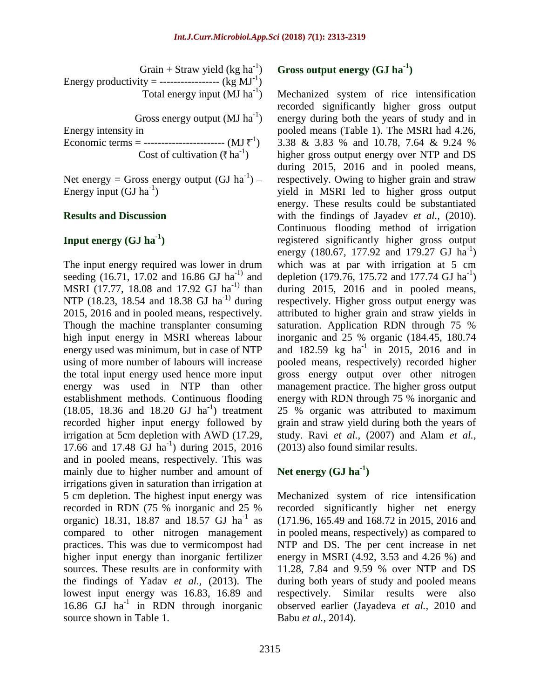Grain + Straw yield (kg  $ha^{-1}$ ) Energy productivity = ------------------  $(kg MJ<sup>-1</sup>)$ Total energy input  $(MJ)$  ha<sup>-1</sup>)

Gross energy output  $(MJ ha^{-1})$ 

Energy intensity in Economic terms = ---------------------------- (MJ $\bar{x}^1$ ) Cost of cultivation ( $\bar{\tau}$  ha<sup>-1</sup>)

Net energy = Gross energy output  $(GJ ha^{-1})$  – Energy input  $(GJ ha^{-1})$ 

#### **Results and Discussion**

## **Input energy (GJ ha-1 )**

The input energy required was lower in drum seeding (16.71, 17.02 and 16.86 GJ ha<sup>-1)</sup> and MSRI (17.77, 18.08 and 17.92 GJ ha<sup>-1)</sup> than NTP (18.23, 18.54 and 18.38 GJ ha<sup>-1)</sup> during 2015, 2016 and in pooled means, respectively. Though the machine transplanter consuming high input energy in MSRI whereas labour energy used was minimum, but in case of NTP using of more number of labours will increase the total input energy used hence more input energy was used in NTP than other establishment methods. Continuous flooding  $(18.05, 18.36 \text{ and } 18.20 \text{ GJ ha}^{-1})$  treatment recorded higher input energy followed by irrigation at 5cm depletion with AWD (17.29, 17.66 and 17.48 GJ ha<sup>-1</sup>) during 2015, 2016 and in pooled means, respectively. This was mainly due to higher number and amount of irrigations given in saturation than irrigation at 5 cm depletion. The highest input energy was recorded in RDN (75 % inorganic and 25 % organic) 18.31, 18.87 and 18.57 GJ ha<sup>-1</sup> as compared to other nitrogen management practices. This was due to vermicompost had higher input energy than inorganic fertilizer sources. These results are in conformity with the findings of Yadav *et al.,* (2013). The lowest input energy was 16.83, 16.89 and 16.86 GJ ha<sup>-1</sup> in RDN through inorganic source shown in Table 1.

# **Gross output energy (GJ ha-1 )**

Mechanized system of rice intensification recorded significantly higher gross output energy during both the years of study and in pooled means (Table 1). The MSRI had 4.26, 3.38 & 3.83 % and 10.78, 7.64 & 9.24 % higher gross output energy over NTP and DS during 2015, 2016 and in pooled means, respectively. Owing to higher grain and straw yield in MSRI led to higher gross output energy. These results could be substantiated with the findings of Jayadev *et al.*, (2010). Continuous flooding method of irrigation registered significantly higher gross output energy (180.67, 177.92 and 179.27 GJ  $\text{ha}^{-1}$ ) which was at par with irrigation at 5 cm depletion (179.76, 175.72 and 177.74 GJ ha<sup>-1</sup>) during 2015, 2016 and in pooled means, respectively. Higher gross output energy was attributed to higher grain and straw yields in saturation. Application RDN through 75 % inorganic and 25 % organic (184.45, 180.74 and  $182.59$  kg ha<sup>-1</sup> in 2015, 2016 and in pooled means, respectively) recorded higher gross energy output over other nitrogen management practice. The higher gross output energy with RDN through 75 % inorganic and 25 % organic was attributed to maximum grain and straw yield during both the years of study. Ravi *et al.,* (2007) and Alam *et al.,* (2013) also found similar results.

## **Net energy (GJ ha-1 )**

Mechanized system of rice intensification recorded significantly higher net energy (171.96, 165.49 and 168.72 in 2015, 2016 and in pooled means, respectively) as compared to NTP and DS. The per cent increase in net energy in MSRI (4.92, 3.53 and 4.26 %) and 11.28, 7.84 and 9.59 % over NTP and DS during both years of study and pooled means respectively. Similar results were also observed earlier (Jayadeva *et al.,* 2010 and Babu *et al.,* 2014).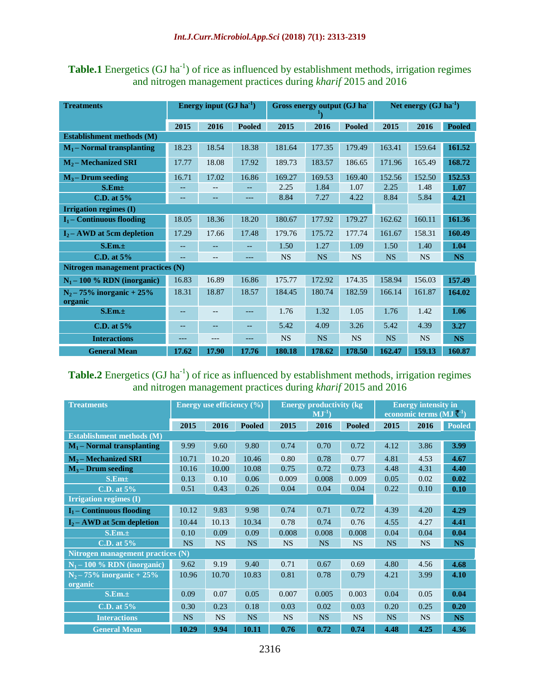**Table.1** Energetics (GJ ha<sup>-1</sup>) of rice as influenced by establishment methods, irrigation regimes and nitrogen management practices during *kharif* 2015 and 2016

| <b>Treatments</b>                       | Energy input $(GJ ha^{-1})$ |                   |               | Gross energy output (GJ ha<br>Ŧ٦ |           |               | Net energy $(GJ ha^{-1})$ |           |               |  |
|-----------------------------------------|-----------------------------|-------------------|---------------|----------------------------------|-----------|---------------|---------------------------|-----------|---------------|--|
|                                         | 2015                        | 2016              | <b>Pooled</b> | 2015                             | 2016      | <b>Pooled</b> | 2015                      | 2016      | <b>Pooled</b> |  |
| Establishment methods (M)               |                             |                   |               |                                  |           |               |                           |           |               |  |
| $M_1$ – Normal transplanting            | 18.23                       | 18.54             | 18.38         | 181.64                           | 177.35    | 179.49        | 163.41                    | 159.64    | 161.52        |  |
| $M_2$ – Mechanized SRI                  | 17.77                       | 18.08             | 17.92         | 189.73                           | 183.57    | 186.65        | 171.96                    | 165.49    | 168.72        |  |
| $M_3$ – Drum seeding                    | 16.71                       | 17.02             | 16.86         | 169.27                           | 169.53    | 169.40        | 152.56                    | 152.50    | 152.53        |  |
| S.Em <sub>±</sub>                       |                             |                   |               | 2.25                             | 1.84      | 1.07          | 2.25                      | 1.48      | 1.07          |  |
| C.D. at 5%                              | --                          | --                | $---$         | 8.84                             | 7.27      | 4.22          | 8.84                      | 5.84      | 4.21          |  |
| Irrigation regimes (I)                  |                             |                   |               |                                  |           |               |                           |           |               |  |
| $I_1$ – Continuous flooding             | 18.05                       | 18.36             | 18.20         | 180.67                           | 177.92    | 179.27        | 162.62                    | 160.11    | 161.36        |  |
| $I_2$ – AWD at 5cm depletion            | 17.29                       | 17.66             | 17.48         | 179.76                           | 175.72    | 177.74        | 161.67                    | 158.31    | 160.49        |  |
| S.Em.±                                  | --                          |                   |               | 1.50                             | 1.27      | 1.09          | 1.50                      | 1.40      | 1.04          |  |
| C.D. at 5%                              | $-\, -$                     | $\qquad \qquad -$ | ---           | <b>NS</b>                        | <b>NS</b> | <b>NS</b>     | <b>NS</b>                 | <b>NS</b> | <b>NS</b>     |  |
| Nitrogen management practices (N)       |                             |                   |               |                                  |           |               |                           |           |               |  |
| $N_1 - 100$ % RDN (inorganic)           | 16.83                       | 16.89             | 16.86         | 175.77                           | 172.92    | 174.35        | 158.94                    | 156.03    | 157.49        |  |
| $N_2 - 75\%$ inorganic + 25%<br>organic | 18.31                       | 18.87             | 18.57         | 184.45                           | 180.74    | 182.59        | 166.14                    | 161.87    | 164.02        |  |
| S.Em.±                                  |                             |                   |               | 1.76                             | 1.32      | 1.05          | 1.76                      | 1.42      | 1.06          |  |
| C.D. at 5%                              | --                          | $- -$             | --            | 5.42                             | 4.09      | 3.26          | 5.42                      | 4.39      | 3.27          |  |
| <b>Interactions</b>                     | ---                         | ---               | ---           | <b>NS</b>                        | <b>NS</b> | <b>NS</b>     | <b>NS</b>                 | <b>NS</b> | <b>NS</b>     |  |
| <b>General Mean</b>                     | 17.62                       | 17.90             | 17.76         | 180.18                           | 178.62    | 178.50        | 162.47                    | 159.13    | 160.87        |  |

## **Table.2** Energetics  $(GJ ha<sup>-1</sup>)$  of rice as influenced by establishment methods, irrigation regimes and nitrogen management practices during *kharif* 2015 and 2016

| <b>Treatments</b>                        |           | Energy use efficiency $(\% )$ |               | <b>Energy productivity (kg)</b><br>$\overline{\mathrm{\bf{M}}} \mathrm{\bf{J}}^{-1}$ |           |               | <b>Energy intensity in</b><br>economic terms $(MJ^{-1})$ |           |               |  |  |
|------------------------------------------|-----------|-------------------------------|---------------|--------------------------------------------------------------------------------------|-----------|---------------|----------------------------------------------------------|-----------|---------------|--|--|
|                                          | 2015      | 2016                          | <b>Pooled</b> | 2015                                                                                 | 2016      | <b>Pooled</b> | 2015                                                     | 2016      | <b>Pooled</b> |  |  |
| <b>Establishment methods (M)</b>         |           |                               |               |                                                                                      |           |               |                                                          |           |               |  |  |
| $M_1$ – Normal transplanting             | 9.99      | 9.60                          | 9.80          | 0.74                                                                                 | 0.70      | 0.72          | 4.12                                                     | 3.86      | 3.99          |  |  |
| $M_2$ – Mechanized SRI                   | 10.71     | 10.20                         | 10.46         | 0.80                                                                                 | 0.78      | 0.77          | 4.81                                                     | 4.53      | 4.67          |  |  |
| $M_3$ – Drum seeding                     | 10.16     | 10.00                         | 10.08         | 0.75                                                                                 | 0.72      | 0.73          | 4.48                                                     | 4.31      | 4.40          |  |  |
| S.Em <sub>±</sub>                        | 0.13      | 0.10                          | 0.06          | 0.009                                                                                | 0.008     | 0.009         | 0.05                                                     | 0.02      | 0.02          |  |  |
| C.D. at $5\%$                            | 0.51      | 0.43                          | 0.26          | 0.04                                                                                 | 0.04      | 0.04          | 0.22                                                     | 0.10      | 0.10          |  |  |
| <b>Irrigation regimes (I)</b>            |           |                               |               |                                                                                      |           |               |                                                          |           |               |  |  |
| $I_1$ – Continuous flooding              | 10.12     | 9.83                          | 9.98          | 0.74                                                                                 | 0.71      | 0.72          | 4.39                                                     | 4.20      | 4.29          |  |  |
| $I_2$ – AWD at 5cm depletion             | 10.44     | 10.13                         | 10.34         | 0.78                                                                                 | 0.74      | 0.76          | 4.55                                                     | 4.27      | 4.41          |  |  |
| S.Em.±                                   | 0.10      | 0.09                          | 0.09          | 0.008                                                                                | 0.008     | 0.008         | 0.04                                                     | 0.04      | 0.04          |  |  |
| C.D. at $5%$                             | <b>NS</b> | <b>NS</b>                     | <b>NS</b>     | <b>NS</b>                                                                            | <b>NS</b> | <b>NS</b>     | <b>NS</b>                                                | <b>NS</b> | <b>NS</b>     |  |  |
| <b>Nitrogen management practices (N)</b> |           |                               |               |                                                                                      |           |               |                                                          |           |               |  |  |
| $N_1 - 100$ % RDN (inorganic)            | 9.62      | 9.19                          | 9.40          | 0.71                                                                                 | 0.67      | 0.69          | 4.80                                                     | 4.56      | 4.68          |  |  |
| $N_2 - 75\%$ inorganic + 25%<br>organic  | 10.96     | 10.70                         | 10.83         | 0.81                                                                                 | 0.78      | 0.79          | 4.21                                                     | 3.99      | 4.10          |  |  |
| S.Em.±                                   | 0.09      | 0.07                          | 0.05          | 0.007                                                                                | 0.005     | 0.003         | 0.04                                                     | 0.05      | 0.04          |  |  |
| C.D. at $5%$                             | 0.30      | 0.23                          | 0.18          | 0.03                                                                                 | 0.02      | 0.03          | 0.20                                                     | 0.25      | 0.20          |  |  |
| <b>Interactions</b>                      | <b>NS</b> | <b>NS</b>                     | <b>NS</b>     | <b>NS</b>                                                                            | <b>NS</b> | <b>NS</b>     | <b>NS</b>                                                | <b>NS</b> | <b>NS</b>     |  |  |
| <b>General Mean</b>                      | 10.29     | 9.94                          | 10.11         | 0.76                                                                                 | 0.72      | 0.74          | 4.48                                                     | 4.25      | 4.36          |  |  |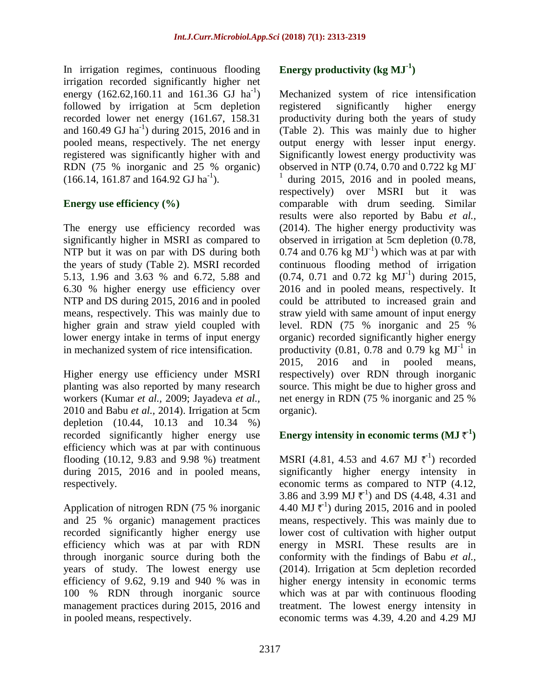In irrigation regimes, continuous flooding irrigation recorded significantly higher net energy  $(162.62, 160.11$  and  $161.36$  GJ ha<sup>-1</sup>) followed by irrigation at 5cm depletion recorded lower net energy (161.67, 158.31 and  $160.49$  GJ ha<sup>-1</sup>) during 2015, 2016 and in pooled means, respectively. The net energy registered was significantly higher with and RDN (75 % inorganic and 25 % organic)  $(166.14, 161.87, and 164.92 \text{ GJ h}a^{-1}).$ 

## **Energy use efficiency (%)**

The energy use efficiency recorded was significantly higher in MSRI as compared to NTP but it was on par with DS during both the years of study (Table 2). MSRI recorded 5.13, 1.96 and 3.63 % and 6.72, 5.88 and 6.30 % higher energy use efficiency over NTP and DS during 2015, 2016 and in pooled means, respectively. This was mainly due to higher grain and straw yield coupled with lower energy intake in terms of input energy in mechanized system of rice intensification.

Higher energy use efficiency under MSRI planting was also reported by many research workers (Kumar *et al.,* 2009; Jayadeva *et al.,* 2010 and Babu *et al.,* 2014). Irrigation at 5cm depletion (10.44, 10.13 and 10.34 %) recorded significantly higher energy use efficiency which was at par with continuous flooding (10.12, 9.83 and 9.98 %) treatment during 2015, 2016 and in pooled means, respectively.

Application of nitrogen RDN (75 % inorganic and 25 % organic) management practices recorded significantly higher energy use efficiency which was at par with RDN through inorganic source during both the years of study. The lowest energy use efficiency of 9.62, 9.19 and 940 % was in 100 % RDN through inorganic source management practices during 2015, 2016 and in pooled means, respectively.

# **Energy productivity (kg MJ-1 )**

Mechanized system of rice intensification registered significantly higher energy productivity during both the years of study (Table 2). This was mainly due to higher output energy with lesser input energy. Significantly lowest energy productivity was observed in NTP (0.74, 0.70 and 0.722 kg MJ-<sup>1</sup> during 2015, 2016 and in pooled means, respectively) over MSRI but it was comparable with drum seeding. Similar results were also reported by Babu *et al.,* (2014). The higher energy productivity was observed in irrigation at 5cm depletion (0.78, 0.74 and 0.76  $kg$   $MJ^{-1}$ ) which was at par with continuous flooding method of irrigation  $(0.74, 0.71$  and  $0.72$  kg  $MJ^{-1}$ ) during 2015, 2016 and in pooled means, respectively. It could be attributed to increased grain and straw yield with same amount of input energy level. RDN (75 % inorganic and 25 % organic) recorded significantly higher energy productivity  $(0.81, 0.78$  and  $0.79$  kg  $MJ<sup>-1</sup>$  in 2015, 2016 and in pooled means, respectively) over RDN through inorganic source. This might be due to higher gross and net energy in RDN (75 % inorganic and 25 % organic).

## **Energy intensity in economic terms (MJ**  $\bar{\tau}^1$ **)**

MSRI (4.81, 4.53 and 4.67 MJ  $\bar{\tau}^1$ ) recorded significantly higher energy intensity in economic terms as compared to NTP (4.12, 3.86 and 3.99 MJ  $\bar{\tau}^{-1}$ ) and DS (4.48, 4.31 and 4.40 MJ  $\bar{\tau}^1$ ) during 2015, 2016 and in pooled means, respectively. This was mainly due to lower cost of cultivation with higher output energy in MSRI. These results are in conformity with the findings of Babu *et al.,* (2014). Irrigation at 5cm depletion recorded higher energy intensity in economic terms which was at par with continuous flooding treatment. The lowest energy intensity in economic terms was 4.39, 4.20 and 4.29 MJ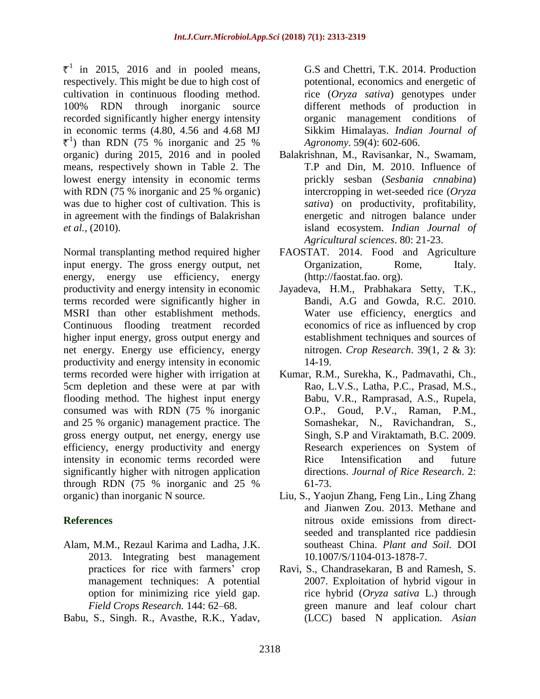$\bar{\tau}^1$  in 2015, 2016 and in pooled means, respectively. This might be due to high cost of cultivation in continuous flooding method. 100% RDN through inorganic source recorded significantly higher energy intensity in economic terms (4.80, 4.56 and 4.68 MJ  $\text{t}$ <sup>1</sup>) than RDN (75 % inorganic and 25 % organic) during 2015, 2016 and in pooled means, respectively shown in Table 2. The lowest energy intensity in economic terms with RDN (75 % inorganic and 25 % organic) was due to higher cost of cultivation. This is in agreement with the findings of Balakrishan *et al.,* (2010).

Normal transplanting method required higher input energy. The gross energy output, net energy, energy use efficiency, energy productivity and energy intensity in economic terms recorded were significantly higher in MSRI than other establishment methods. Continuous flooding treatment recorded higher input energy, gross output energy and net energy. Energy use efficiency, energy productivity and energy intensity in economic terms recorded were higher with irrigation at 5cm depletion and these were at par with flooding method. The highest input energy consumed was with RDN (75 % inorganic and 25 % organic) management practice. The gross energy output, net energy, energy use efficiency, energy productivity and energy intensity in economic terms recorded were significantly higher with nitrogen application through RDN (75 % inorganic and 25 % organic) than inorganic N source.

## **References**

- Alam, M.M., Rezaul Karima and Ladha, J.K. 2013. Integrating best management practices for rice with farmers' crop management techniques: A potential option for minimizing rice yield gap. *Field Crops Research.* 144: 62–68.
- Babu, S., Singh. R., Avasthe, R.K., Yadav,

G.S and Chettri, T.K. 2014. Production potentional, economics and energetic of rice (*Oryza sativa*) genotypes under different methods of production in organic management conditions of Sikkim Himalayas. *Indian Journal of Agronomy*. 59(4): 602-606.

- Balakrishnan, M., Ravisankar, N., Swamam, T.P and Din, M. 2010. Influence of prickly sesban (*Sesbania cnnabina*) intercropping in wet-seeded rice (*Oryza sativa*) on productivity, profitability, energetic and nitrogen balance under island ecosystem. *Indian Journal of Agricultural sciences*. 80: 21-23.
- FAOSTAT. 2014. Food and Agriculture Organization, Rome, Italy. (http://faostat.fao. org).
- Jayadeva, H.M., Prabhakara Setty, T.K., Bandi, A.G and Gowda, R.C. 2010. Water use efficiency, energtics and economics of rice as influenced by crop establishment techniques and sources of nitrogen. *Crop Research*. 39(1, 2 & 3): 14-19.
- Kumar, R.M., Surekha, K., Padmavathi, Ch., Rao, L.V.S., Latha, P.C., Prasad, M.S., Babu, V.R., Ramprasad, A.S., Rupela, O.P., Goud, P.V., Raman, P.M., Somashekar, N., Ravichandran, S., Singh, S.P and Viraktamath, B.C. 2009. Research experiences on System of Rice Intensification and future directions. *Journal of Rice Research*. 2: 61-73.
- Liu, S., Yaojun Zhang, Feng Lin., Ling Zhang and Jianwen Zou. 2013. Methane and nitrous oxide emissions from directseeded and transplanted rice paddiesin southeast China. *Plant and Soil.* DOI 10.1007/S/1104-013-1878-7.
- Ravi, S., Chandrasekaran, B and Ramesh, S. 2007. Exploitation of hybrid vigour in rice hybrid (*Oryza sativa* L.) through green manure and leaf colour chart (LCC) based N application. *Asian*